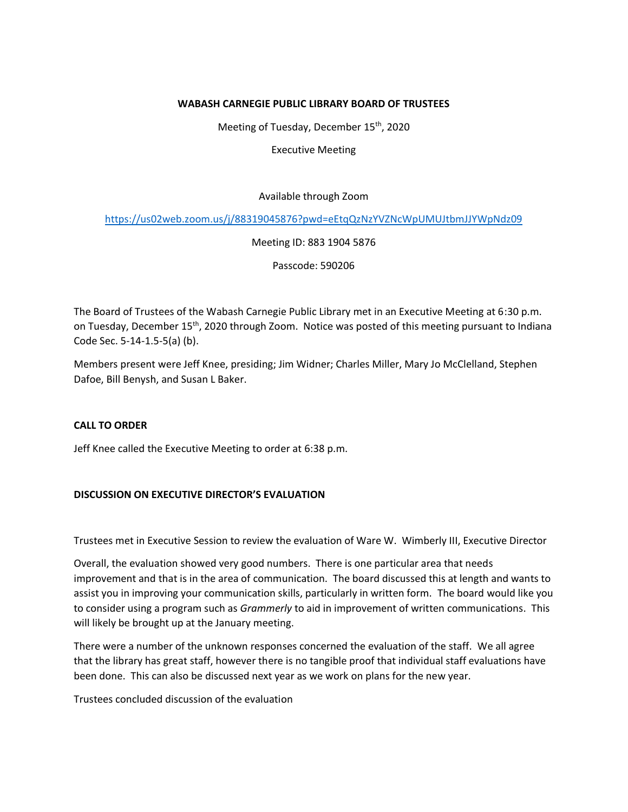## **WABASH CARNEGIE PUBLIC LIBRARY BOARD OF TRUSTEES**

Meeting of Tuesday, December 15<sup>th</sup>, 2020

Executive Meeting

Available through Zoom

<https://us02web.zoom.us/j/88319045876?pwd=eEtqQzNzYVZNcWpUMUJtbmJJYWpNdz09>

Meeting ID: 883 1904 5876

Passcode: 590206

The Board of Trustees of the Wabash Carnegie Public Library met in an Executive Meeting at 6:30 p.m. on Tuesday, December 15th, 2020 through Zoom. Notice was posted of this meeting pursuant to Indiana Code Sec. 5-14-1.5-5(a) (b).

Members present were Jeff Knee, presiding; Jim Widner; Charles Miller, Mary Jo McClelland, Stephen Dafoe, Bill Benysh, and Susan L Baker.

## **CALL TO ORDER**

Jeff Knee called the Executive Meeting to order at 6:38 p.m.

## **DISCUSSION ON EXECUTIVE DIRECTOR'S EVALUATION**

Trustees met in Executive Session to review the evaluation of Ware W. Wimberly III, Executive Director

Overall, the evaluation showed very good numbers. There is one particular area that needs improvement and that is in the area of communication. The board discussed this at length and wants to assist you in improving your communication skills, particularly in written form. The board would like you to consider using a program such as *Grammerly* to aid in improvement of written communications. This will likely be brought up at the January meeting.

There were a number of the unknown responses concerned the evaluation of the staff. We all agree that the library has great staff, however there is no tangible proof that individual staff evaluations have been done. This can also be discussed next year as we work on plans for the new year.

Trustees concluded discussion of the evaluation